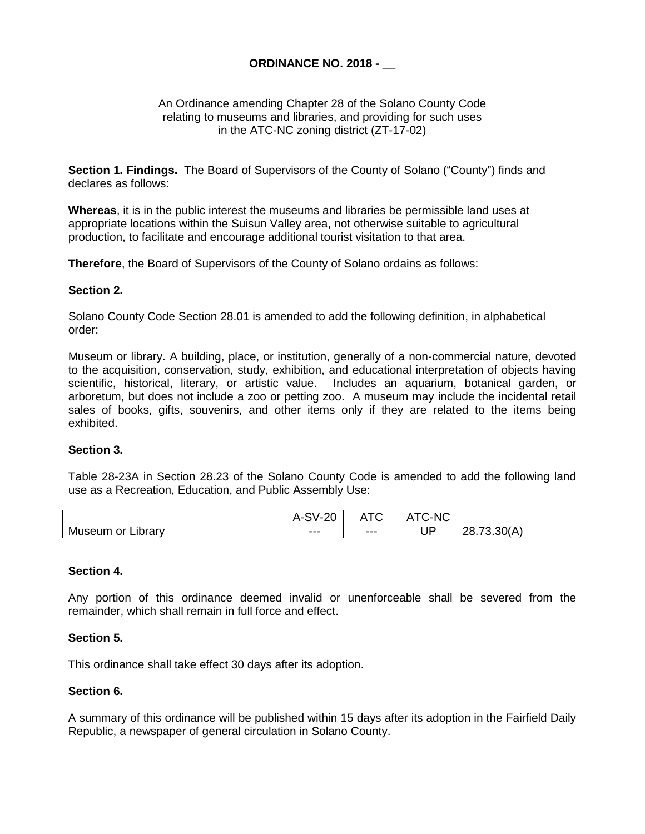# **ORDINANCE NO. 2018 - \_\_**

## An Ordinance amending Chapter 28 of the Solano County Code relating to museums and libraries, and providing for such uses in the ATC-NC zoning district (ZT-17-02)

**Section 1. Findings.** The Board of Supervisors of the County of Solano ("County") finds and declares as follows:

**Whereas**, it is in the public interest the museums and libraries be permissible land uses at appropriate locations within the Suisun Valley area, not otherwise suitable to agricultural production, to facilitate and encourage additional tourist visitation to that area.

**Therefore**, the Board of Supervisors of the County of Solano ordains as follows:

# **Section 2.**

Solano County Code Section 28.01 is amended to add the following definition, in alphabetical order:

Museum or library. A building, place, or institution, generally of a non-commercial nature, devoted to the acquisition, conservation, study, exhibition, and educational interpretation of objects having scientific, historical, literary, or artistic value. Includes an aquarium, botanical garden, or arboretum, but does not include a zoo or petting zoo. A museum may include the incidental retail sales of books, gifts, souvenirs, and other items only if they are related to the items being exhibited.

#### **Section 3.**

Table 28-23A in Section 28.23 of the Solano County Code is amended to add the following land use as a Recreation, Education, and Public Assembly Use:

|                          | $\sim$<br>$\sim$<br>A-OV-.<br>~ | $\sim$<br>. . | C-NC<br>-<br>$\overline{\phantom{a}}$<br>┑. |                                                |
|--------------------------|---------------------------------|---------------|---------------------------------------------|------------------------------------------------|
| ∟ıbrarv<br>or<br>Museur. | $- - -$<br>---                  | $---$         | ТD<br>יש                                    | .30(A)<br>ററ<br>$\overline{\phantom{a}}$<br>∠ບ |

#### **Section 4.**

Any portion of this ordinance deemed invalid or unenforceable shall be severed from the remainder, which shall remain in full force and effect.

#### **Section 5.**

This ordinance shall take effect 30 days after its adoption.

## **Section 6.**

A summary of this ordinance will be published within 15 days after its adoption in the Fairfield Daily Republic, a newspaper of general circulation in Solano County.